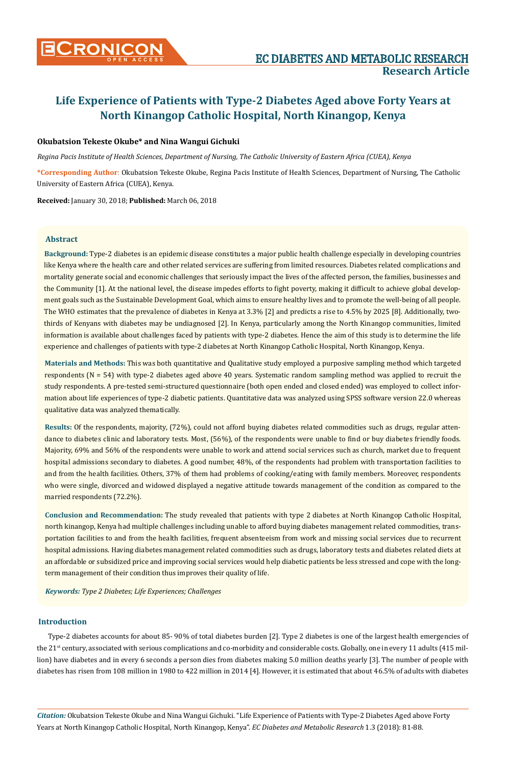## **Okubatsion Tekeste Okube\* and Nina Wangui Gichuki**

*Regina Pacis Institute of Health Sciences, Department of Nursing, The Catholic University of Eastern Africa (CUEA), Kenya*

**\*Corresponding Author**: Okubatsion Tekeste Okube, Regina Pacis Institute of Health Sciences, Department of Nursing, The Catholic University of Eastern Africa (CUEA), Kenya.

**Received:** January 30, 2018; **Published:** March 06, 2018

#### **Abstract**

**Background:** Type-2 diabetes is an epidemic disease constitutes a major public health challenge especially in developing countries like Kenya where the health care and other related services are suffering from limited resources. Diabetes related complications and mortality generate social and economic challenges that seriously impact the lives of the affected person, the families, businesses and the Community [1]. At the national level, the disease impedes efforts to fight poverty, making it difficult to achieve global development goals such as the Sustainable Development Goal, which aims to ensure healthy lives and to promote the well-being of all people. The WHO estimates that the prevalence of diabetes in Kenya at 3.3% [2] and predicts a rise to 4.5% by 2025 [8]. Additionally, twothirds of Kenyans with diabetes may be undiagnosed [2]. In Kenya, particularly among the North Kinangop communities, limited information is available about challenges faced by patients with type-2 diabetes. Hence the aim of this study is to determine the life experience and challenges of patients with type-2 diabetes at North Kinangop Catholic Hospital, North Kinangop, Kenya.

**Materials and Methods:** This was both quantitative and Qualitative study employed a purposive sampling method which targeted respondents  $(N = 54)$  with type-2 diabetes aged above 40 years. Systematic random sampling method was applied to recruit the study respondents. A pre-tested semi-structured questionnaire (both open ended and closed ended) was employed to collect information about life experiences of type-2 diabetic patients. Quantitative data was analyzed using SPSS software version 22.0 whereas qualitative data was analyzed thematically.

**Results:** Of the respondents, majority, (72%), could not afford buying diabetes related commodities such as drugs, regular attendance to diabetes clinic and laboratory tests. Most, (56%), of the respondents were unable to find or buy diabetes friendly foods. Majority, 69% and 56% of the respondents were unable to work and attend social services such as church, market due to frequent hospital admissions secondary to diabetes. A good number, 48%, of the respondents had problem with transportation facilities to and from the health facilities. Others, 37% of them had problems of cooking/eating with family members. Moreover, respondents who were single, divorced and widowed displayed a negative attitude towards management of the condition as compared to the married respondents (72.2%).

**Conclusion and Recommendation:** The study revealed that patients with type 2 diabetes at North Kinangop Catholic Hospital, north kinangop, Kenya had multiple challenges including unable to afford buying diabetes management related commodities, transportation facilities to and from the health facilities, frequent absenteeism from work and missing social services due to recurrent hospital admissions. Having diabetes management related commodities such as drugs, laboratory tests and diabetes related diets at an affordable or subsidized price and improving social services would help diabetic patients be less stressed and cope with the longterm management of their condition thus improves their quality of life.

*Keywords: Type 2 Diabetes; Life Experiences; Challenges*

## **Introduction**

Type-2 diabetes accounts for about 85- 90% of total diabetes burden [2]. Type 2 diabetes is one of the largest health emergencies of the 21<sup>st</sup> century, associated with serious complications and co-morbidity and considerable costs. Globally, one in every 11 adults (415 million) have diabetes and in every 6 seconds a person dies from diabetes making 5.0 million deaths yearly [3]. The number of people with diabetes has risen from 108 million in 1980 to 422 million in 2014 [4]. However, it is estimated that about 46.5% of adults with diabetes

*Citation:* Okubatsion Tekeste Okube and Nina Wangui Gichuki. "Life Experience of Patients with Type-2 Diabetes Aged above Forty Years at North Kinangop Catholic Hospital, North Kinangop, Kenya". *EC Diabetes and Metabolic Research* 1.3 (2018): 81-88.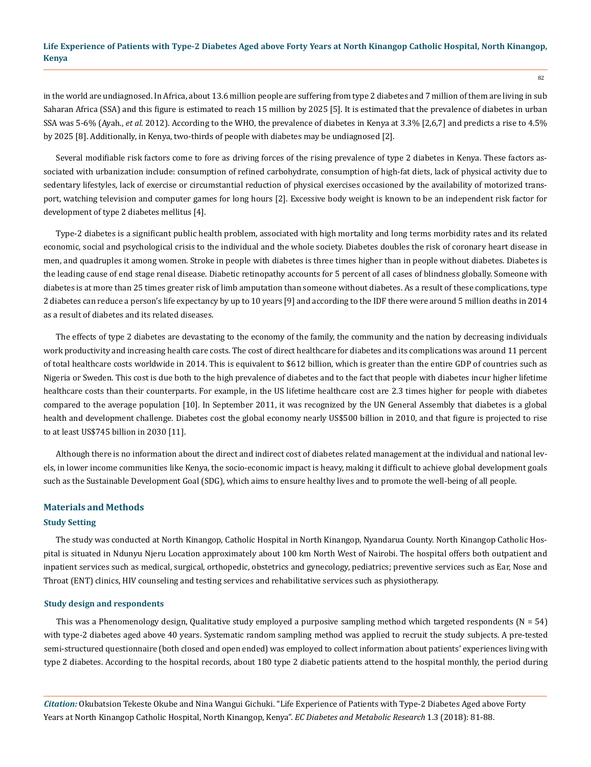in the world are undiagnosed. In Africa, about 13.6 million people are suffering from type 2 diabetes and 7 million of them are living in sub Saharan Africa (SSA) and this figure is estimated to reach 15 million by 2025 [5]. It is estimated that the prevalence of diabetes in urban SSA was 5-6% (Ayah., *et al*. 2012). According to the WHO, the prevalence of diabetes in Kenya at 3.3% [2,6,7] and predicts a rise to 4.5% by 2025 [8]. Additionally, in Kenya, two-thirds of people with diabetes may be undiagnosed [2].

Several modifiable risk factors come to fore as driving forces of the rising prevalence of type 2 diabetes in Kenya. These factors associated with urbanization include: consumption of refined carbohydrate, consumption of high-fat diets, lack of physical activity due to sedentary lifestyles, lack of exercise or circumstantial reduction of physical exercises occasioned by the availability of motorized transport, watching television and computer games for long hours [2]. Excessive body weight is known to be an independent risk factor for development of type 2 diabetes mellitus [4].

Type-2 diabetes is a significant public health problem, associated with high mortality and long terms morbidity rates and its related economic, social and psychological crisis to the individual and the whole society. Diabetes doubles the risk of coronary heart disease in men, and quadruples it among women. Stroke in people with diabetes is three times higher than in people without diabetes. Diabetes is the leading cause of end stage renal disease. Diabetic retinopathy accounts for 5 percent of all cases of blindness globally. Someone with diabetes is at more than 25 times greater risk of limb amputation than someone without diabetes. As a result of these complications, type 2 diabetes can reduce a person's life expectancy by up to 10 years [9] and according to the IDF there were around 5 million deaths in 2014 as a result of diabetes and its related diseases.

The effects of type 2 diabetes are devastating to the economy of the family, the community and the nation by decreasing individuals work productivity and increasing health care costs. The cost of direct healthcare for diabetes and its complications was around 11 percent of total healthcare costs worldwide in 2014. This is equivalent to \$612 billion, which is greater than the entire GDP of countries such as Nigeria or Sweden. This cost is due both to the high prevalence of diabetes and to the fact that people with diabetes incur higher lifetime healthcare costs than their counterparts. For example, in the US lifetime healthcare cost are 2.3 times higher for people with diabetes compared to the average population [10]. In September 2011, it was recognized by the UN General Assembly that diabetes is a global health and development challenge. Diabetes cost the global economy nearly US\$500 billion in 2010, and that figure is projected to rise to at least US\$745 billion in 2030 [11].

Although there is no information about the direct and indirect cost of diabetes related management at the individual and national levels, in lower income communities like Kenya, the socio-economic impact is heavy, making it difficult to achieve global development goals such as the Sustainable Development Goal (SDG), which aims to ensure healthy lives and to promote the well-being of all people.

## **Materials and Methods**

#### **Study Setting**

The study was conducted at North Kinangop, Catholic Hospital in North Kinangop, Nyandarua County. North Kinangop Catholic Hospital is situated in Ndunyu Njeru Location approximately about 100 km North West of Nairobi. The hospital offers both outpatient and inpatient services such as medical, surgical, orthopedic, obstetrics and gynecology, pediatrics; preventive services such as Ear, Nose and Throat (ENT) clinics, HIV counseling and testing services and rehabilitative services such as physiotherapy.

#### **Study design and respondents**

This was a Phenomenology design, Qualitative study employed a purposive sampling method which targeted respondents ( $N = 54$ ) with type-2 diabetes aged above 40 years. Systematic random sampling method was applied to recruit the study subjects. A pre-tested semi-structured questionnaire (both closed and open ended) was employed to collect information about patients' experiences living with type 2 diabetes. According to the hospital records, about 180 type 2 diabetic patients attend to the hospital monthly, the period during

*Citation:* Okubatsion Tekeste Okube and Nina Wangui Gichuki. "Life Experience of Patients with Type-2 Diabetes Aged above Forty Years at North Kinangop Catholic Hospital, North Kinangop, Kenya". *EC Diabetes and Metabolic Research* 1.3 (2018): 81-88.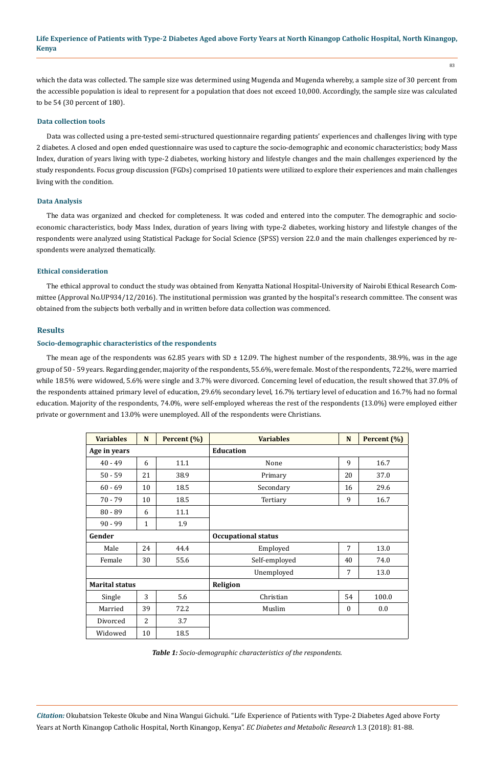which the data was collected. The sample size was determined using Mugenda and Mugenda whereby, a sample size of 30 percent from the accessible population is ideal to represent for a population that does not exceed 10,000. Accordingly, the sample size was calculated to be 54 (30 percent of 180).

#### **Data collection tools**

Data was collected using a pre-tested semi-structured questionnaire regarding patients' experiences and challenges living with type 2 diabetes. A closed and open ended questionnaire was used to capture the socio-demographic and economic characteristics; body Mass Index, duration of years living with type-2 diabetes, working history and lifestyle changes and the main challenges experienced by the study respondents. Focus group discussion (FGDs) comprised 10 patients were utilized to explore their experiences and main challenges living with the condition.

#### **Data Analysis**

The data was organized and checked for completeness. It was coded and entered into the computer. The demographic and socioeconomic characteristics, body Mass Index, duration of years living with type-2 diabetes, working history and lifestyle changes of the respondents were analyzed using Statistical Package for Social Science (SPSS) version 22.0 and the main challenges experienced by respondents were analyzed thematically.

#### **Ethical consideration**

The ethical approval to conduct the study was obtained from Kenyatta National Hospital-University of Nairobi Ethical Research Committee (Approval No.UP934/12/2016). The institutional permission was granted by the hospital's research committee. The consent was obtained from the subjects both verbally and in written before data collection was commenced.

#### **Results**

#### **Socio-demographic characteristics of the respondents**

The mean age of the respondents was 62.85 years with SD  $\pm$  12.09. The highest number of the respondents, 38.9%, was in the age group of 50 - 59 years. Regarding gender, majority of the respondents, 55.6%, were female. Most of the respondents, 72.2%, were married while 18.5% were widowed, 5.6% were single and 3.7% were divorced. Concerning level of education, the result showed that 37.0% of the respondents attained primary level of education, 29.6% secondary level, 16.7% tertiary level of education and 16.7% had no formal education. Majority of the respondents, 74.0%, were self-employed whereas the rest of the respondents (13.0%) were employed either private or government and 13.0% were unemployed. All of the respondents were Christians.

| <b>Variables</b>      | N  | Percent (%) | <b>Variables</b>           | N            | Percent (%) |
|-----------------------|----|-------------|----------------------------|--------------|-------------|
| Age in years          |    |             | <b>Education</b>           |              |             |
| $40 - 49$             | 6  | 11.1        | None                       | 9            | 16.7        |
| $50 - 59$             | 21 | 38.9        | Primary                    | 20           | 37.0        |
| $60 - 69$             | 10 | 18.5        | Secondary                  | 16           | 29.6        |
| $70 - 79$             | 10 | 18.5        | Tertiary                   | 9            | 16.7        |
| $80 - 89$             | 6  | 11.1        |                            |              |             |
| $90 - 99$             | 1  | 1.9         |                            |              |             |
| Gender                |    |             | <b>Occupational status</b> |              |             |
| Male                  | 24 | 44.4        | Employed                   | 7            | 13.0        |
| Female                | 30 | 55.6        | Self-employed              | 40           | 74.0        |
|                       |    |             | Unemployed                 | 7            | 13.0        |
| <b>Marital status</b> |    |             | Religion                   |              |             |
| Single                | 3  | 5.6         | Christian                  | 54           | 100.0       |
| Married               | 39 | 72.2        | Muslim                     | $\mathbf{0}$ | 0.0         |
| Divorced              | 2  | 3.7         |                            |              |             |
| Widowed               | 10 | 18.5        |                            |              |             |

*Table 1: Socio-demographic characteristics of the respondents.*

*Citation:* Okubatsion Tekeste Okube and Nina Wangui Gichuki. "Life Experience of Patients with Type-2 Diabetes Aged above Forty Years at North Kinangop Catholic Hospital, North Kinangop, Kenya". *EC Diabetes and Metabolic Research* 1.3 (2018): 81-88.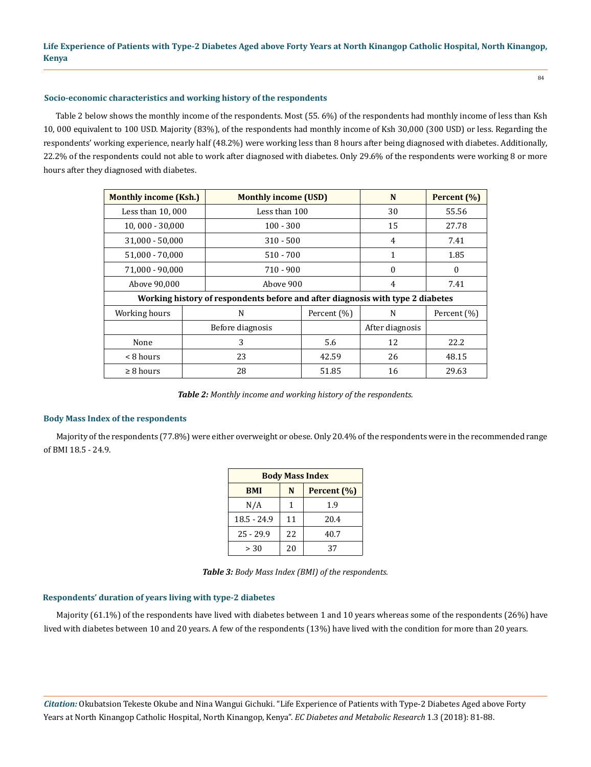84

#### **Socio-economic characteristics and working history of the respondents**

Table 2 below shows the monthly income of the respondents. Most (55. 6%) of the respondents had monthly income of less than Ksh 10, 000 equivalent to 100 USD. Majority (83%), of the respondents had monthly income of Ksh 30,000 (300 USD) or less. Regarding the respondents' working experience, nearly half (48.2%) were working less than 8 hours after being diagnosed with diabetes. Additionally, 22.2% of the respondents could not able to work after diagnosed with diabetes. Only 29.6% of the respondents were working 8 or more hours after they diagnosed with diabetes.

| <b>Monthly income (Ksh.)</b>                                                   |   | <b>Monthly income (USD)</b> |             | N               | Percent (%) |  |  |
|--------------------------------------------------------------------------------|---|-----------------------------|-------------|-----------------|-------------|--|--|
| Less than 10,000                                                               |   | Less than 100               |             | 30              | 55.56       |  |  |
| 10,000 - 30,000                                                                |   | $100 - 300$                 |             | 15              | 27.78       |  |  |
| 31,000 - 50,000                                                                |   | $310 - 500$                 |             | $\overline{4}$  | 7.41        |  |  |
| 51,000 - 70,000                                                                |   | $510 - 700$                 |             | 1               | 1.85        |  |  |
| 71,000 - 90,000                                                                |   | $710 - 900$                 |             | $\Omega$        | $\Omega$    |  |  |
| Above 90,000                                                                   |   | Above 900                   |             | $\overline{4}$  | 7.41        |  |  |
| Working history of respondents before and after diagnosis with type 2 diabetes |   |                             |             |                 |             |  |  |
| Working hours                                                                  |   | N                           | Percent (%) | N               | Percent (%) |  |  |
|                                                                                |   | Before diagnosis            |             | After diagnosis |             |  |  |
| None                                                                           | 3 |                             | 5.6         | 12              | 22.2        |  |  |
| < 8 hours                                                                      |   | 23                          | 42.59       | 26              | 48.15       |  |  |
| $\geq$ 8 hours                                                                 |   | 28                          | 51.85       | 16              | 29.63       |  |  |

*Table 2: Monthly income and working history of the respondents.*

#### **Body Mass Index of the respondents**

Majority of the respondents (77.8%) were either overweight or obese. Only 20.4% of the respondents were in the recommended range of BMI 18.5 - 24.9.

| <b>Body Mass Index</b> |    |             |  |  |
|------------------------|----|-------------|--|--|
| <b>BMI</b>             | N  | Percent (%) |  |  |
| N/A                    | 1  | 1.9         |  |  |
| $18.5 - 24.9$          | 11 | 20.4        |  |  |
| $25 - 29.9$            | 22 | 40.7        |  |  |
| > 30                   | 20 | 37          |  |  |

*Table 3: Body Mass Index (BMI) of the respondents.*

#### **Respondents' duration of years living with type-2 diabetes**

Majority (61.1%) of the respondents have lived with diabetes between 1 and 10 years whereas some of the respondents (26%) have lived with diabetes between 10 and 20 years. A few of the respondents (13%) have lived with the condition for more than 20 years.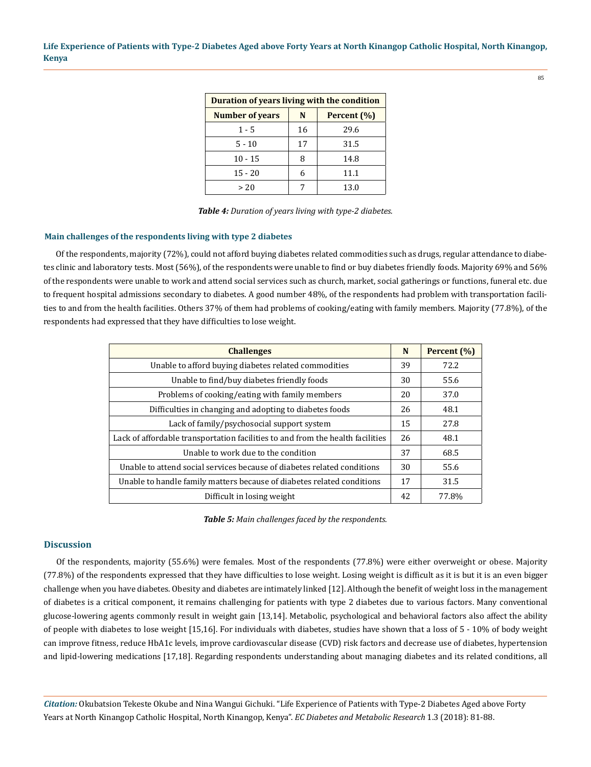85

| Duration of years living with the condition |    |             |  |  |
|---------------------------------------------|----|-------------|--|--|
| <b>Number of years</b>                      | N  | Percent (%) |  |  |
| $1 - 5$                                     | 16 | 29.6        |  |  |
| $5 - 10$                                    | 17 | 31.5        |  |  |
| $10 - 15$                                   | 8  | 14.8        |  |  |
| $15 - 20$                                   | 6  | 11.1        |  |  |
| > 20                                        |    | 13.0        |  |  |

*Table 4: Duration of years living with type-2 diabetes.*

## **Main challenges of the respondents living with type 2 diabetes**

Of the respondents, majority (72%), could not afford buying diabetes related commodities such as drugs, regular attendance to diabetes clinic and laboratory tests. Most (56%), of the respondents were unable to find or buy diabetes friendly foods. Majority 69% and 56% of the respondents were unable to work and attend social services such as church, market, social gatherings or functions, funeral etc. due to frequent hospital admissions secondary to diabetes. A good number 48%, of the respondents had problem with transportation facilities to and from the health facilities. Others 37% of them had problems of cooking/eating with family members. Majority (77.8%), of the respondents had expressed that they have difficulties to lose weight.

| <b>Challenges</b>                                                              | N  | Percent (%) |
|--------------------------------------------------------------------------------|----|-------------|
| Unable to afford buying diabetes related commodities                           | 39 | 72.2        |
| Unable to find/buy diabetes friendly foods                                     | 30 | 55.6        |
| Problems of cooking/eating with family members                                 | 20 | 37.0        |
| Difficulties in changing and adopting to diabetes foods                        | 26 | 48.1        |
| Lack of family/psychosocial support system                                     | 15 | 27.8        |
| Lack of affordable transportation facilities to and from the health facilities | 26 | 48.1        |
| Unable to work due to the condition                                            | 37 | 68.5        |
| Unable to attend social services because of diabetes related conditions        | 30 | 55.6        |
| Unable to handle family matters because of diabetes related conditions         | 17 | 31.5        |
| Difficult in losing weight                                                     | 42 | 77.8%       |

*Table 5: Main challenges faced by the respondents.*

### **Discussion**

Of the respondents, majority (55.6%) were females. Most of the respondents (77.8%) were either overweight or obese. Majority (77.8%) of the respondents expressed that they have difficulties to lose weight. Losing weight is difficult as it is but it is an even bigger challenge when you have diabetes. Obesity and diabetes are intimately linked [12]. Although the benefit of weight loss in the management of diabetes is a critical component, it remains challenging for patients with type 2 diabetes due to various factors. Many conventional glucose-lowering agents commonly result in weight gain [13,14]. Metabolic, psychological and behavioral factors also affect the ability of people with diabetes to lose weight [15,16]. For individuals with diabetes, studies have shown that a loss of 5 - 10% of body weight can improve fitness, reduce HbA1c levels, improve cardiovascular disease (CVD) risk factors and decrease use of diabetes, hypertension and lipid-lowering medications [17,18]. Regarding respondents understanding about managing diabetes and its related conditions, all

*Citation:* Okubatsion Tekeste Okube and Nina Wangui Gichuki. "Life Experience of Patients with Type-2 Diabetes Aged above Forty Years at North Kinangop Catholic Hospital, North Kinangop, Kenya". *EC Diabetes and Metabolic Research* 1.3 (2018): 81-88.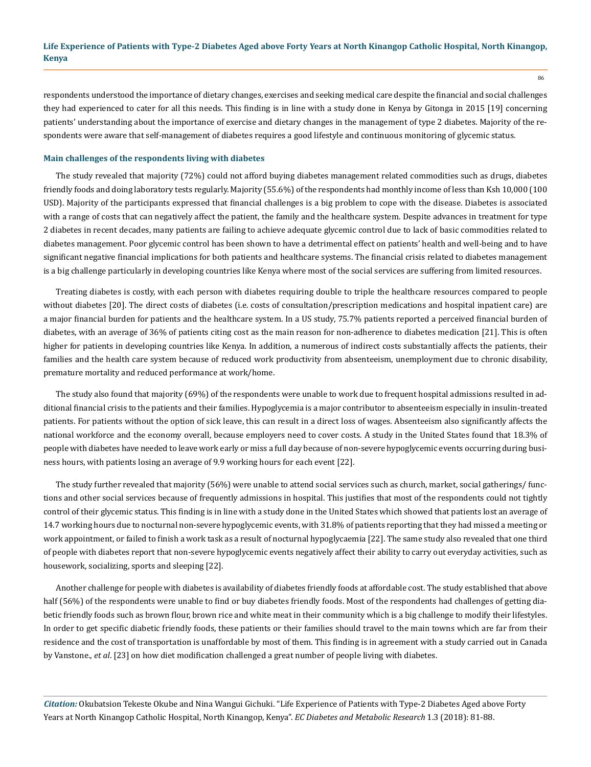respondents understood the importance of dietary changes, exercises and seeking medical care despite the financial and social challenges they had experienced to cater for all this needs. This finding is in line with a study done in Kenya by Gitonga in 2015 [19] concerning patients' understanding about the importance of exercise and dietary changes in the management of type 2 diabetes. Majority of the respondents were aware that self-management of diabetes requires a good lifestyle and continuous monitoring of glycemic status.

#### **Main challenges of the respondents living with diabetes**

The study revealed that majority (72%) could not afford buying diabetes management related commodities such as drugs, diabetes friendly foods and doing laboratory tests regularly. Majority (55.6%) of the respondents had monthly income of less than Ksh 10,000 (100 USD). Majority of the participants expressed that financial challenges is a big problem to cope with the disease. Diabetes is associated with a range of costs that can negatively affect the patient, the family and the healthcare system. Despite advances in treatment for type 2 diabetes in recent decades, many patients are failing to achieve adequate glycemic control due to lack of basic commodities related to diabetes management. Poor glycemic control has been shown to have a detrimental effect on patients' health and well-being and to have significant negative financial implications for both patients and healthcare systems. The financial crisis related to diabetes management is a big challenge particularly in developing countries like Kenya where most of the social services are suffering from limited resources.

Treating diabetes is costly, with each person with diabetes requiring double to triple the healthcare resources compared to people without diabetes [20]. The direct costs of diabetes (i.e. costs of consultation/prescription medications and hospital inpatient care) are a major financial burden for patients and the healthcare system. In a US study, 75.7% patients reported a perceived financial burden of diabetes, with an average of 36% of patients citing cost as the main reason for non-adherence to diabetes medication [21]. This is often higher for patients in developing countries like Kenya. In addition, a numerous of indirect costs substantially affects the patients, their families and the health care system because of reduced work productivity from absenteeism, unemployment due to chronic disability, premature mortality and reduced performance at work/home.

The study also found that majority (69%) of the respondents were unable to work due to frequent hospital admissions resulted in additional financial crisis to the patients and their families. Hypoglycemia is a major contributor to absenteeism especially in insulin-treated patients. For patients without the option of sick leave, this can result in a direct loss of wages. Absenteeism also significantly affects the national workforce and the economy overall, because employers need to cover costs. A study in the United States found that 18.3% of people with diabetes have needed to leave work early or miss a full day because of non-severe hypoglycemic events occurring during business hours, with patients losing an average of 9.9 working hours for each event [22].

The study further revealed that majority (56%) were unable to attend social services such as church, market, social gatherings/ functions and other social services because of frequently admissions in hospital. This justifies that most of the respondents could not tightly control of their glycemic status. This finding is in line with a study done in the United States which showed that patients lost an average of 14.7 working hours due to nocturnal non-severe hypoglycemic events, with 31.8% of patients reporting that they had missed a meeting or work appointment, or failed to finish a work task as a result of nocturnal hypoglycaemia [22]. The same study also revealed that one third of people with diabetes report that non-severe hypoglycemic events negatively affect their ability to carry out everyday activities, such as housework, socializing, sports and sleeping [22].

Another challenge for people with diabetes is availability of diabetes friendly foods at affordable cost. The study established that above half (56%) of the respondents were unable to find or buy diabetes friendly foods. Most of the respondents had challenges of getting diabetic friendly foods such as brown flour, brown rice and white meat in their community which is a big challenge to modify their lifestyles. In order to get specific diabetic friendly foods, these patients or their families should travel to the main towns which are far from their residence and the cost of transportation is unaffordable by most of them. This finding is in agreement with a study carried out in Canada by Vanstone., *et al*. [23] on how diet modification challenged a great number of people living with diabetes.

*Citation:* Okubatsion Tekeste Okube and Nina Wangui Gichuki. "Life Experience of Patients with Type-2 Diabetes Aged above Forty Years at North Kinangop Catholic Hospital, North Kinangop, Kenya". *EC Diabetes and Metabolic Research* 1.3 (2018): 81-88.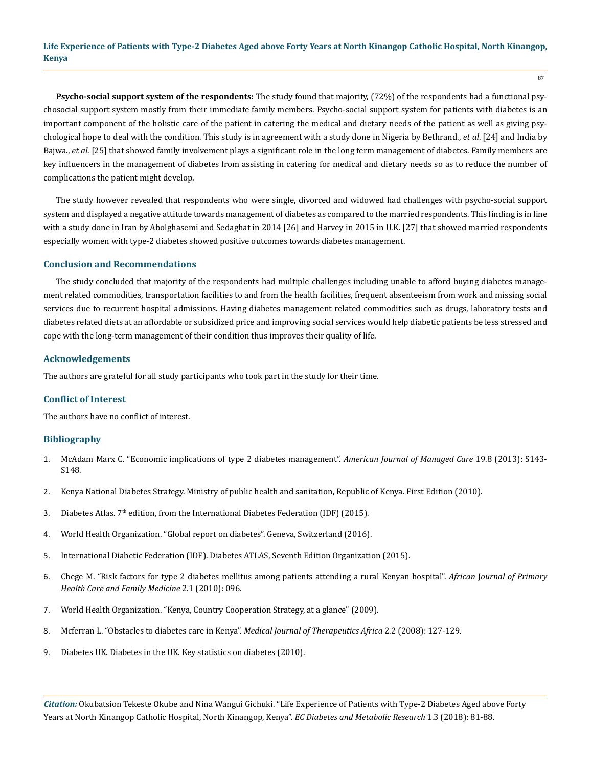87

**Psycho-social support system of the respondents:** The study found that majority, (72%) of the respondents had a functional psychosocial support system mostly from their immediate family members. Psycho-social support system for patients with diabetes is an important component of the holistic care of the patient in catering the medical and dietary needs of the patient as well as giving psychological hope to deal with the condition. This study is in agreement with a study done in Nigeria by Bethrand., *et al*. [24] and India by Bajwa., *et al*. [25] that showed family involvement plays a significant role in the long term management of diabetes. Family members are key influencers in the management of diabetes from assisting in catering for medical and dietary needs so as to reduce the number of complications the patient might develop.

The study however revealed that respondents who were single, divorced and widowed had challenges with psycho-social support system and displayed a negative attitude towards management of diabetes as compared to the married respondents. This finding is in line with a study done in Iran by Abolghasemi and Sedaghat in 2014 [26] and Harvey in 2015 in U.K. [27] that showed married respondents especially women with type-2 diabetes showed positive outcomes towards diabetes management.

#### **Conclusion and Recommendations**

The study concluded that majority of the respondents had multiple challenges including unable to afford buying diabetes management related commodities, transportation facilities to and from the health facilities, frequent absenteeism from work and missing social services due to recurrent hospital admissions. Having diabetes management related commodities such as drugs, laboratory tests and diabetes related diets at an affordable or subsidized price and improving social services would help diabetic patients be less stressed and cope with the long-term management of their condition thus improves their quality of life.

#### **Acknowledgements**

The authors are grateful for all study participants who took part in the study for their time.

## **Conflict of Interest**

The authors have no conflict of interest.

## **Bibliography**

- 1. [McAdam Marx C. "Economic implications of type 2 diabetes management".](https://www.ncbi.nlm.nih.gov/pubmed/23844830) *American Journal of Managed Care* 19.8 (2013): S143- [S148.](https://www.ncbi.nlm.nih.gov/pubmed/23844830)
- 2. [Kenya National Diabetes Strategy. Ministry of public health and sanitation, Republic of Kenya. First Edition \(2010\).](https://www.worlddiabetesfoundation.org/sites/default/files/WDF09-436%20Kenya%20National%20Diabetes%20Strategy%202010-2015%20%20-%20Complete.pdf)
- 3. Diabetes Atlas. 7<sup>th</sup> edition, from the International Diabetes Federation (IDF) (2015).
- 4. [World Health Organization. "Global report on diabetes". Geneva, Switzerland \(2016\).](http://apps.who.int/iris/bitstream/10665/204871/1/9789241565257_eng.pdf)
- 5. International Diabetic Federation (IDF). Diabetes ATLAS, Seventh Edition Organization (2015).
- 6. [Chege M. "Risk factors for type 2 diabetes mellitus among patients attending a rural Kenyan hospital".](https://www.ncbi.nlm.nih.gov/pmc/articles/PMC4565959/) *African* J*ournal of Primary [Health Care and Family Medicine](https://www.ncbi.nlm.nih.gov/pmc/articles/PMC4565959/)* 2.1 (2010): 096.
- 7. [World Health Organization. "Kenya, Country Cooperation Strategy, at a glance" \(2009\).](http://www.who.int/country-cooperation/what-who-does/strategies-and-briefs/en/)
- 8. [Mcferran L. "Obstacles to diabetes care in Kenya".](http://www.mjota.org/images/mjota5diabetes127-9kenyalmf.pdf) *Medical Journal of Therapeutics Africa* 2.2 (2008): 127-129.
- 9. [Diabetes UK. Diabetes in the UK. Key statistics on diabetes \(2010\).](http://www.diabetes.org.uk/documents/reports/diabetes_in_the_uk_2010.pdf)

*Citation:* Okubatsion Tekeste Okube and Nina Wangui Gichuki. "Life Experience of Patients with Type-2 Diabetes Aged above Forty Years at North Kinangop Catholic Hospital, North Kinangop, Kenya". *EC Diabetes and Metabolic Research* 1.3 (2018): 81-88.